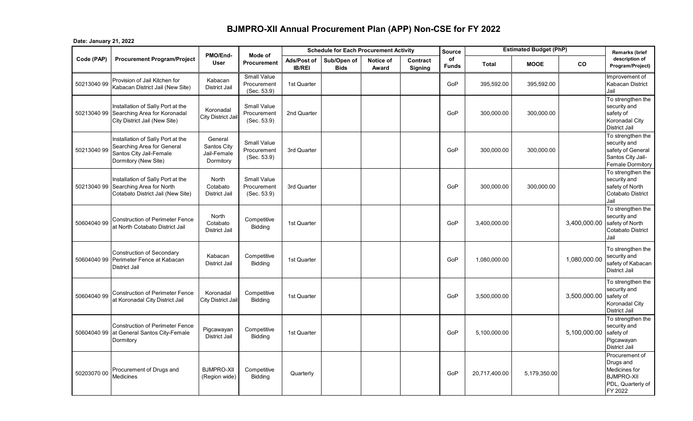## **BJMPRO-XII Annual Procurement Plan (APP) Non-CSE for FY 2022**

## **Date: January 21, 2022**

|             |                                                                                                                    | PMO/End-                                           |                                                  |                              | <b>Schedule for Each Procurement Activity</b> |                    |                            | <b>Source</b>      |               | <b>Estimated Budget (PhP)</b> |              | <b>Remarks (brief</b>                                                                             |
|-------------|--------------------------------------------------------------------------------------------------------------------|----------------------------------------------------|--------------------------------------------------|------------------------------|-----------------------------------------------|--------------------|----------------------------|--------------------|---------------|-------------------------------|--------------|---------------------------------------------------------------------------------------------------|
| Code (PAP)  | <b>Procurement Program/Project</b>                                                                                 | User                                               | Mode of<br>Procurement                           | Ads/Post of<br><b>IB/REI</b> | Sub/Open of<br><b>Bids</b>                    | Notice of<br>Award | Contract<br><b>Signing</b> | οf<br><b>Funds</b> | <b>Total</b>  | <b>MOOE</b>                   | <b>CO</b>    | description of<br>Program/Project)                                                                |
| 50213040 99 | Provision of Jail Kitchen for<br>Kabacan District Jail (New Site)                                                  | Kabacan<br><b>District Jail</b>                    | Small Value<br>Procurement<br>(Sec. 53.9)        | 1st Quarter                  |                                               |                    |                            | GoP                | 395,592.00    | 395,592.00                    |              | Improvement of<br><b>Kabacan District</b><br>Jail                                                 |
| 50213040 99 | Installation of Sally Port at the<br>Searching Area for Koronadal<br>City District Jail (New Site)                 | Koronadal<br>City District Jail                    | <b>Small Value</b><br>Procurement<br>(Sec. 53.9) | 2nd Quarter                  |                                               |                    |                            | GoP                | 300,000.00    | 300,000.00                    |              | To strengthen the<br>security and<br>safety of<br>Koronadal City<br><b>District Jail</b>          |
| 50213040 99 | Installation of Sally Port at the<br>Searching Area for General<br>Santos City Jail-Female<br>Dormitory (New Site) | General<br>Santos City<br>Jail-Female<br>Dormitory | <b>Small Value</b><br>Procurement<br>(Sec. 53.9) | 3rd Quarter                  |                                               |                    |                            | GoP                | 300,000.00    | 300,000.00                    |              | To strengthen the<br>security and<br>safety of General<br>Santos City Jail-<br>Female Dormitory   |
| 50213040 99 | Installation of Sally Port at the<br>Searching Area for North<br>Cotabato District Jail (New Site)                 | North<br>Cotabato<br><b>District Jail</b>          | Small Value<br>Procurement<br>(Sec. 53.9)        | 3rd Quarter                  |                                               |                    |                            | GoP                | 300,000.00    | 300,000.00                    |              | To strengthen the<br>security and<br>safety of North<br><b>Cotabato District</b><br>Jail          |
| 50604040 99 | <b>Construction of Perimeter Fence</b><br>at North Cotabato District Jail                                          | North<br>Cotabato<br><b>District Jail</b>          | Competitive<br>Bidding                           | 1st Quarter                  |                                               |                    |                            | GoP                | 3,400,000.00  |                               | 3,400,000.00 | To strengthen the<br>security and<br>safety of North<br><b>Cotabato District</b><br>Jail          |
| 5060404099  | <b>Construction of Secondary</b><br>Perimeter Fence at Kabacan<br>District Jail                                    | Kabacan<br>District Jail                           | Competitive<br><b>Bidding</b>                    | 1st Quarter                  |                                               |                    |                            | GoP                | 1,080,000.00  |                               | 1,080,000.00 | To strengthen the<br>security and<br>safety of Kabacan<br>District Jail                           |
| 50604040 99 | <b>Construction of Perimeter Fence</b><br>at Koronadal City District Jail                                          | Koronadal<br>City District Jail                    | Competitive<br><b>Bidding</b>                    | 1st Quarter                  |                                               |                    |                            | GoP                | 3,500,000.00  |                               | 3,500,000.00 | To strengthen the<br>security and<br>safety of<br>Koronadal City<br><b>District Jail</b>          |
| 5060404099  | <b>Construction of Perimeter Fence</b><br>at General Santos City-Female<br>Dormitory                               | Pigcawayan<br><b>District Jail</b>                 | Competitive<br><b>Bidding</b>                    | 1st Quarter                  |                                               |                    |                            | GoP                | 5,100,000.00  |                               | 5,100,000.00 | To strengthen the<br>security and<br>safety of<br>Pigcawayan<br><b>District Jail</b>              |
| 50203070 00 | Procurement of Drugs and<br>Medicines                                                                              | <b>BJMPRO-XII</b><br>(Region wide)                 | Competitive<br>Bidding                           | Quarterly                    |                                               |                    |                            | GoP                | 20,717,400.00 | 5,179,350.00                  |              | Procurement of<br>Drugs and<br>Medicines for<br><b>BJMPRO-XII</b><br>PDL, Quarterly of<br>FY 2022 |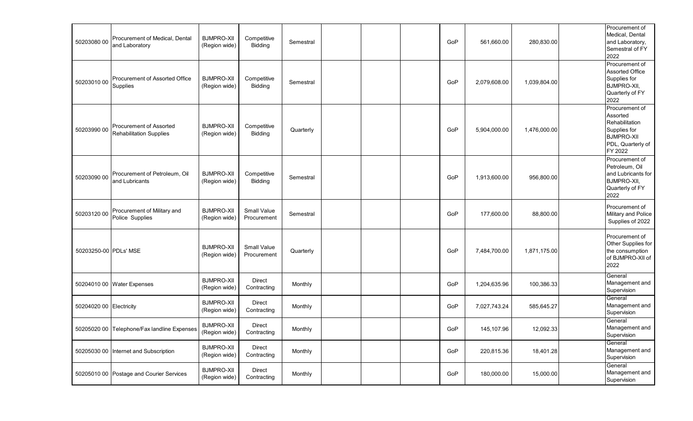| 50203080 00             | Procurement of Medical, Dental<br>and Laboratory                 | <b>BJMPRO-XII</b><br>(Region wide) | Competitive<br><b>Bidding</b>     | Semestral |  | GoP | 561,660.00   | 280,830.00   | Procurement of<br>Medical, Dental<br>and Laboratory,<br>Semestral of FY<br>2022                                   |
|-------------------------|------------------------------------------------------------------|------------------------------------|-----------------------------------|-----------|--|-----|--------------|--------------|-------------------------------------------------------------------------------------------------------------------|
| 50203010 00             | Procurement of Assorted Office<br>Supplies                       | <b>BJMPRO-XII</b><br>(Region wide) | Competitive<br>Bidding            | Semestral |  | GoP | 2,079,608.00 | 1,039,804.00 | Procurement of<br><b>Assorted Office</b><br>Supplies for<br>BJMPRO-XII,<br>Quarterly of FY<br>2022                |
| 50203990 00             | <b>Procurement of Assorted</b><br><b>Rehabilitation Supplies</b> | <b>BJMPRO-XII</b><br>(Region wide) | Competitive<br>Bidding            | Quarterly |  | GoP | 5,904,000.00 | 1,476,000.00 | Procurement of<br>Assorted<br>Rehabilitation<br>Supplies for<br><b>BJMPRO-XII</b><br>PDL, Quarterly of<br>FY 2022 |
| 50203090 00             | Procurement of Petroleum, Oil<br>and Lubricants                  | <b>BJMPRO-XII</b><br>(Region wide) | Competitive<br>Bidding            | Semestral |  | GoP | 1,913,600.00 | 956,800.00   | Procurement of<br>Petroleum, Oil<br>and Lubricants for<br>BJMPRO-XII,<br>Quarterly of FY<br>2022                  |
| 50203120 00             | Procurement of Military and<br>Police Supplies                   | <b>BJMPRO-XII</b><br>(Region wide) | <b>Small Value</b><br>Procurement | Semestral |  | GoP | 177,600.00   | 88,800.00    | Procurement of<br>Military and Police<br>Supplies of 2022                                                         |
| 50203250-00 PDLs' MSE   |                                                                  | <b>BJMPRO-XII</b><br>(Region wide) | <b>Small Value</b><br>Procurement | Quarterly |  | GoP | 7,484,700.00 | 1,871,175.00 | Procurement of<br>Other Supplies for<br>the consumption<br>of BJMPRO-XII of<br>2022                               |
|                         | 50204010 00 Water Expenses                                       | <b>BJMPRO-XII</b><br>(Region wide) | <b>Direct</b><br>Contracting      | Monthly   |  | GoP | 1,204,635.96 | 100,386.33   | General<br>Management and<br>Supervision                                                                          |
| 50204020 00 Electricity |                                                                  | <b>BJMPRO-XII</b><br>(Region wide) | <b>Direct</b><br>Contracting      | Monthly   |  | GoP | 7,027,743.24 | 585,645.27   | General<br>Management and<br>Supervision                                                                          |
|                         | 50205020 00 Telephone/Fax landline Expenses                      | <b>BJMPRO-XII</b><br>(Region wide) | <b>Direct</b><br>Contracting      | Monthly   |  | GoP | 145,107.96   | 12,092.33    | General<br>Management and<br>Supervision                                                                          |
|                         | 50205030 00 Internet and Subscription                            | <b>BJMPRO-XII</b><br>(Region wide) | Direct<br>Contracting             | Monthly   |  | GoP | 220,815.36   | 18,401.28    | General<br>Management and<br>Supervision                                                                          |
|                         | 50205010 00 Postage and Courier Services                         | <b>BJMPRO-XII</b><br>(Region wide) | Direct<br>Contracting             | Monthly   |  | GoP | 180,000.00   | 15,000.00    | General<br>Management and<br>Supervision                                                                          |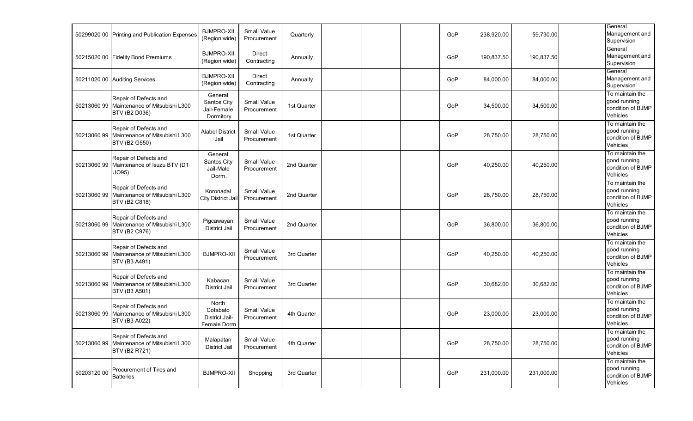|             | 50299020 00 Printing and Publication Expenses                                   | <b>BJMPRO-XII</b><br>(Region wide)                 | <b>Small Value</b><br>Procurement | Quarterly   |  | GoP | 238,920.00 | 59,730.00  | General<br>Management and<br>Supervision                         |
|-------------|---------------------------------------------------------------------------------|----------------------------------------------------|-----------------------------------|-------------|--|-----|------------|------------|------------------------------------------------------------------|
|             | 50215020 00 Fidelity Bond Premiums                                              | <b>BJMPRO-XII</b><br>(Region wide)                 | <b>Direct</b><br>Contracting      | Annually    |  | GoP | 190,837.50 | 190,837.50 | General<br>Management and<br>Supervision                         |
|             | 50211020 00 Auditing Services                                                   | <b>BJMPRO-XII</b><br>(Region wide)                 | <b>Direct</b><br>Contracting      | Annually    |  | GoP | 84,000.00  | 84,000.00  | General<br>Management and<br>Supervision                         |
| 5021306099  | Repair of Defects and<br>Maintenance of Mitsubishi L300<br><b>BTV (B2 D036)</b> | General<br>Santos City<br>Jail-Female<br>Dormitory | <b>Small Value</b><br>Procurement | 1st Quarter |  | GoP | 34,500.00  | 34,500.00  | To maintain the<br>good running<br>condition of BJMP<br>Vehicles |
| 5021306099  | Repair of Defects and<br>Maintenance of Mitsubishi L300<br>BTV (B2 G550)        | <b>Alabel District</b><br>Jail                     | <b>Small Value</b><br>Procurement | 1st Quarter |  | GoP | 28,750.00  | 28,750.00  | To maintain the<br>good running<br>condition of BJMP<br>Vehicles |
| 5021306099  | Repair of Defects and<br>Maintenance of Isuzu BTV (D1<br>UO95)                  | General<br>Santos City<br>Jail-Male<br>Dorm.       | <b>Small Value</b><br>Procurement | 2nd Quarter |  | GoP | 40,250.00  | 40,250.00  | To maintain the<br>good running<br>condition of BJMP<br>Vehicles |
| 5021306099  | Repair of Defects and<br>Maintenance of Mitsubishi L300<br>BTV (B2 C818)        | Koronadal<br><b>City District Jail</b>             | <b>Small Value</b><br>Procurement | 2nd Quarter |  | GoP | 28,750.00  | 28,750.00  | To maintain the<br>good running<br>condition of BJMP<br>Vehicles |
| 5021306099  | Repair of Defects and<br>Maintenance of Mitsubishi L300<br>BTV (B2 C976)        | Pigcawayan<br>District Jail                        | Small Value<br>Procurement        | 2nd Quarter |  | GoP | 36,800.00  | 36,800.00  | To maintain the<br>good running<br>condition of BJMP<br>Vehicles |
| 5021306099  | Repair of Defects and<br>Maintenance of Mitsubishi L300<br>BTV (B3 A491)        | <b>BJMPRO-XII</b>                                  | Small Value<br>Procurement        | 3rd Quarter |  | GoP | 40,250.00  | 40,250.00  | To maintain the<br>good running<br>condition of BJMP<br>Vehicles |
| 5021306099  | Repair of Defects and<br>Maintenance of Mitsubishi L300<br>BTV (B3 A501)        | Kabacan<br><b>District Jail</b>                    | <b>Small Value</b><br>Procurement | 3rd Quarter |  | GoP | 30,682.00  | 30,682.00  | To maintain the<br>good running<br>condition of BJMP<br>Vehicles |
| 5021306099  | Repair of Defects and<br>Maintenance of Mitsubishi L300<br>BTV (B3 A022)        | North<br>Cotabato<br>District Jail-<br>Female Dorm | <b>Small Value</b><br>Procurement | 4th Quarter |  | GoP | 23,000.00  | 23,000.00  | To maintain the<br>good running<br>condition of BJMP<br>Vehicles |
| 5021306099  | Repair of Defects and<br>Maintenance of Mitsubishi L300<br>BTV (B2 R721)        | Malapatan<br><b>District Jail</b>                  | Small Value<br>Procurement        | 4th Quarter |  | GoP | 28,750.00  | 28,750.00  | To maintain the<br>good running<br>condition of BJMP<br>Vehicles |
| 50203120 00 | Procurement of Tires and<br><b>Batteries</b>                                    | <b>BJMPRO-XII</b>                                  | Shopping                          | 3rd Quarter |  | GoP | 231,000.00 | 231,000.00 | To maintain the<br>good running<br>condition of BJMP<br>Vehicles |